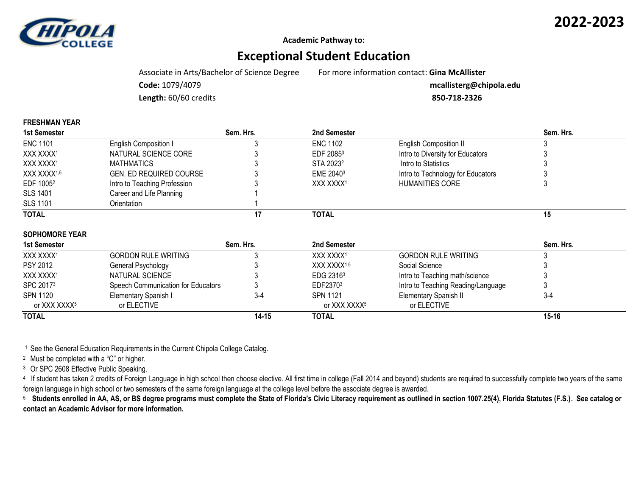

**FRESHMAN YEAR**

**Academic Pathway to:**

## **Exceptional Student Education**

Associate in Arts/Bachelor of Science Degree For more information contact: **Gina McAllister**

**Code:** 1079/4079 **mcallisterg@chipola.edu**

**Length:** 60/60 credits **850-718-2326**

| FREJHWAN IEAR            |                                    |           |                          |                                    |           |
|--------------------------|------------------------------------|-----------|--------------------------|------------------------------------|-----------|
| 1st Semester             |                                    | Sem. Hrs. | 2nd Semester             |                                    | Sem. Hrs. |
| <b>ENC 1101</b>          | English Composition I              |           | <b>ENC 1102</b>          | <b>English Composition II</b>      |           |
| XXX XXXX <sup>1</sup>    | NATURAL SCIENCE CORE               |           | EDF 20853                | Intro to Diversity for Educators   |           |
| XXX XXXX <sup>1</sup>    | <b>MATHMATICS</b>                  |           | STA 2023 <sup>2</sup>    | Intro to Statistics                |           |
| XXX XXXX <sup>1,5</sup>  | GEN. ED REQUIRED COURSE            |           | EME 2040 <sup>3</sup>    | Intro to Technology for Educators  |           |
| EDF 1005 <sup>2</sup>    | Intro to Teaching Profession       |           | XXX XXXX <sup>1</sup>    | <b>HUMANITIES CORE</b>             |           |
| SLS 1401                 | Career and Life Planning           |           |                          |                                    |           |
| <b>SLS 1101</b>          | Orientation                        |           |                          |                                    |           |
| <b>TOTAL</b>             |                                    | 17        | <b>TOTAL</b>             |                                    | 15        |
| <b>SOPHOMORE YEAR</b>    |                                    |           |                          |                                    |           |
| 1st Semester             |                                    | Sem. Hrs. | 2nd Semester             |                                    | Sem. Hrs. |
| XXX XXXX <sup>1</sup>    | <b>GORDON RULE WRITING</b>         |           | XXX XXXX <sup>1</sup>    | <b>GORDON RULE WRITING</b>         |           |
| <b>PSY 2012</b>          | General Psychology                 |           | XXX XXXX <sup>1,5</sup>  | Social Science                     |           |
| XXX XXXX <sup>1</sup>    | NATURAL SCIENCE                    |           | EDG 2316 <sup>3</sup>    | Intro to Teaching math/science     |           |
| SPC 20173                | Speech Communication for Educators |           | EDF23703                 | Intro to Teaching Reading/Language |           |
| SPN 1120                 | Elementary Spanish I               | $3-4$     | <b>SPN 1121</b>          | <b>Elementary Spanish II</b>       | $3-4$     |
| or XXX XXXX <sup>5</sup> | or ELECTIVE                        |           | or XXX XXXX <sup>5</sup> | or ELECTIVE                        |           |

<sup>1</sup> See the General Education Requirements in the Current Chipola College Catalog.

<sup>2</sup> Must be completed with a "C" or higher.

<sup>3</sup> Or SPC 2608 Effective Public Speaking.

<sup>4</sup> If student has taken 2 credits of Foreign Language in high school then choose elective. All first time in college (Fall 2014 and beyond) students are required to successfully complete two years of the same foreign language in high school or two semesters of the same foreign language at the college level before the associate degree is awarded.

**TOTAL 14-15 TOTAL 15-16**

5  **Students enrolled in AA, AS, or BS degree programs must complete the State of Florida's Civic Literacy requirement as outlined in section 1007.25(4), Florida Statutes (F.S.). See catalog or contact an Academic Advisor for more information.**